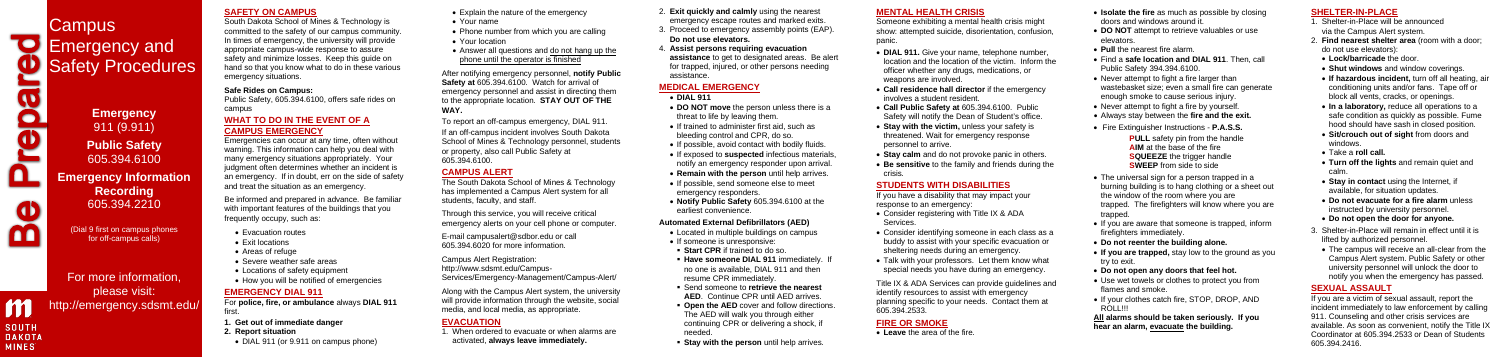# **SAFETY ON CAMPUS**

South Dakota School of Mines & Technology is committed to the safety of our campus community. In times of emergency, the university will provide appropriate campus-wide response to assure safety and minimize losses. Keep this guide on hand so that you know what to do in these various emergency situations.

#### **Safe Rides on Campus:**

Public Safety, 605.394.6100, offers safe rides on campus

#### **WHAT TO DO IN THE EVENT OF A CAMPUS EMERGENCY**

- **1. Get out of immediate danger**
- **2. Report situation**
- DIAL 911 (or 9.911 on campus phone)

Emergencies can occur at any time, often without warning. This information can help you deal with many emergency situations appropriately. Your judgment often determines whether an incident is an emergency. If in doubt, err on the side of safety and treat the situation as an emergency.

Be informed and prepared in advance. Be familiar with important features of the buildings that you frequently occupy, such as:

- Evacuation routes
- Exit locations
- Areas of refuge
- Severe weather safe areas
- Locations of safety equipment
- How you will be notified of emergencies

## **EMERGENCY DIAL 911**

For **police, fire, or ambulance** always **DIAL 911**  first.

- Explain the nature of the emergency
- Your name
- Phone number from which you are calling
- Your location
- Answer all questions and do not hang up the phone until the operator is finished

After notifying emergency personnel, **notify Public Safety at** 605.394.6100. Watch for arrival of emergency personnel and assist in directing them to the appropriate location. **STAY OUT OF THE WAY.**

To report an off-campus emergency, DIAL 911.

If an off-campus incident involves South Dakota School of Mines & Technology personnel, students or property, also call Public Safety at 605.394.6100.

# **CAMPUS ALERT**

The South Dakota School of Mines & Technology has implemented a Campus Alert system for all students, faculty, and staff.

Through this service, you will receive critical emergency alerts on your cell phone or computer.

E-mai[l campusalert@sdbor.edu](mailto:campusalert@sdbor.edu) or call 605.394.6020 for more information.

Campus Alert Registration: [http://www.sdsmt.edu/Campus-](http://www.sdsmt.edu/Campus-Services/Emergency-Management/Campus-Alert/)[Services/Emergency-Management/Campus-Alert/](http://www.sdsmt.edu/Campus-Services/Emergency-Management/Campus-Alert/)

Along with the Campus Alert system, the university will provide information through the website, social media, and local media, as appropriate.

• Consider registering with Title IX & ADA Services.

# **EVACUATION**

1. When ordered to evacuate or when alarms are activated, **always leave immediately.**

- **Isolate the fire** as much as possible by closing doors and windows around it.
- **DO NOT** attempt to retrieve valuables or use elevators.
- **Pull** the nearest fire alarm.
- Find a **safe location and DIAL 911**. Then, call Public Safety 394.394.6100.
- Never attempt to fight a fire larger than wastebasket size; even a small fire can generate enough smoke to cause serious injury.
- Never attempt to fight a fire by yourself.
- Always stay between the **fire and the exit.**
- Fire Extinguisher Instructions **P.A.S.S. PULL** safety pin from the handle **AIM** at the base of the fire **SQUEEZE** the trigger handle **SWEEP** from side to side
- The universal sign for a person trapped in a burning building is to hang clothing or a sheet out the window of the room where you are trapped. The firefighters will know where you are trapped.
- If you are aware that someone is trapped, inform firefighters immediately.
- **Do not reenter the building alone.**
- **If you are trapped,** stay low to the ground as you try to exit.
- **Do not open any doors that feel hot.**
- Use wet towels or clothes to protect you from flames and smoke.
- If your clothes catch fire, STOP, DROP, AND ROLL!!!
- 2. **Exit quickly and calmly** using the nearest emergency escape routes and marked exits.
- 3. Proceed to emergency assembly points (EAP). **Do not use elevators.**
- 4. **Assist persons requiring evacuation assistance** to get to designated areas. Be alert for trapped, injured, or other persons needing assistance.

## **MEDICAL EMERGENCY**

- **DIAL 911**
- **DO NOT move** the person unless there is a threat to life by leaving them.
- If trained to administer first aid, such as bleeding control and CPR, do so.
- If possible, avoid contact with bodily fluids.
- If exposed to **suspected** infectious materials, notify an emergency responder upon arrival.
- **Remain with the person** until help arrives.
- If possible, send someone else to meet emergency responders.
- **Notify Public Safety** 605.394.6100 at the earliest convenience.

#### **Automated External Defibrillators (AED)**

- Located in multiple buildings on campus
- If someone is unresponsive:
- **Start CPR** if trained to do so.
- **Have someone DIAL 911** immediately. no one is available, DIAL 911 and then resume CPR immediately.
- Send someone to **retrieve the nearest AED**. Continue CPR until AED arrives.
- **Open the AED** cover and follow directions. The AED will walk you through either continuing CPR or delivering a shock, if needed.
- **Stay with the person** until help arrives.

# **MENTAL HEALTH CRISIS**

Someone exhibiting a mental health crisis might show: attempted suicide, disorientation, confusion, panic.

• **DIAL 911.** Give your name, telephone number, location and the location of the victim. Inform the officer whether any drugs, medications, or weapons are involved.

• **Call residence hall director** if the emergency involves a student resident.

• **Call Public Safety at** 605.394.6100. Public Safety will notify the Dean of Student's office. • **Stay with the victim,** unless your safety is threatened. Wait for emergency response personnel to arrive.

• **Stay calm** and do not provoke panic in others. • **Be sensitive** to the family and friends during the crisis.

# **STUDENTS WITH DISABILITIES**

If you have a disability that may impact your response to an emergency:

• Consider identifying someone in each class as a buddy to assist with your specific evacuation or sheltering needs during an emergency.

• Talk with your professors. Let them know what special needs you have during an emergency.

Title IX & ADA Services can provide guidelines and identify resources to assist with emergency planning specific to your needs. Contact them at 605.394.2533.

# **FIRE OR SMOKE**

• **Leave** the area of the fire.

**All alarms should be taken seriously. If you hear an alarm, evacuate the building.**

## **SHELTER-IN-PLACE**

- 1. Shelter-in-Place will be announced via the Campus Alert system.
- 2. **Find nearest shelter area** (room with a door; do not use elevators):
- **Lock/barricade** the door.
- **Shut windows** and window coverings.
- **If hazardous incident,** turn off all heating, air conditioning units and/or fans. Tape off or block all vents, cracks, or openings.
- **In a laboratory,** reduce all operations to a safe condition as quickly as possible. Fume hood should have sash in closed position.
- **Sit/crouch out of sight** from doors and windows.
- Take a **roll call.**
- **Turn off the lights** and remain quiet and calm.
- **Stay in contact** using the Internet, if available, for situation updates.
- **Do not evacuate for a fire alarm** unless instructed by university personnel.
- **Do not open the door for anyone.**
- 3. Shelter-in-Place will remain in effect until it is lifted by authorized personnel.
- The campus will receive an all-clear from the Campus Alert system. Public Safety or other university personnel will unlock the door to notify you when the emergency has passed.

# **SEXUAL ASSAULT**

If you are a victim of sexual assault, report the incident immediately to law enforcement by calling 911. Counseling and other crisis services are available. As soon as convenient, notify the Title IX Coordinator at 605.394.2533 or Dean of Students 605.394.2416.



 $\bullet$ m

n **SOUTH DAKOTA MINES** 

**Emergency**  911 (9.911) **Public Safety** 605.394.6100 **Emergency Information Recording**  605.394.2210

(Dial 9 first on campus phones for off-campus calls)

For more information, please visit: http://emergency.sdsmt.edu/